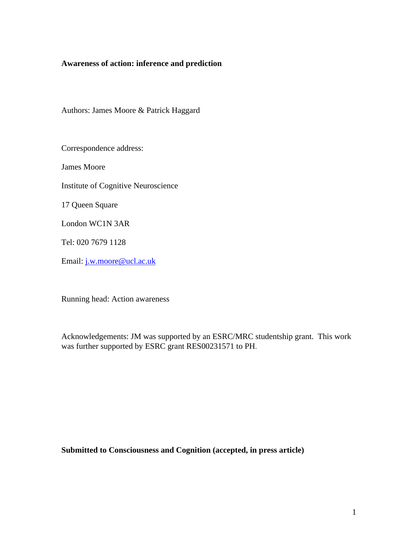# **Awareness of action: inference and prediction**

Authors: James Moore & Patrick Haggard

Correspondence address:

James Moore

Institute of Cognitive Neuroscience

17 Queen Square

London WC1N 3AR

Tel: 020 7679 1128

Email: j.w.moore@ucl.ac.uk

Running head: Action awareness

Acknowledgements: JM was supported by an ESRC/MRC studentship grant. This work was further supported by ESRC grant RES00231571 to PH.

**Submitted to Consciousness and Cognition (accepted, in press article)**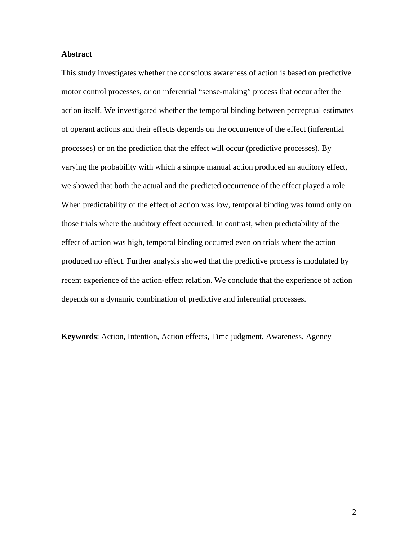## **Abstract**

This study investigates whether the conscious awareness of action is based on predictive motor control processes, or on inferential "sense-making" process that occur after the action itself. We investigated whether the temporal binding between perceptual estimates of operant actions and their effects depends on the occurrence of the effect (inferential processes) or on the prediction that the effect will occur (predictive processes). By varying the probability with which a simple manual action produced an auditory effect, we showed that both the actual and the predicted occurrence of the effect played a role. When predictability of the effect of action was low, temporal binding was found only on those trials where the auditory effect occurred. In contrast, when predictability of the effect of action was high, temporal binding occurred even on trials where the action produced no effect. Further analysis showed that the predictive process is modulated by recent experience of the action-effect relation. We conclude that the experience of action depends on a dynamic combination of predictive and inferential processes.

**Keywords**: Action, Intention, Action effects, Time judgment, Awareness, Agency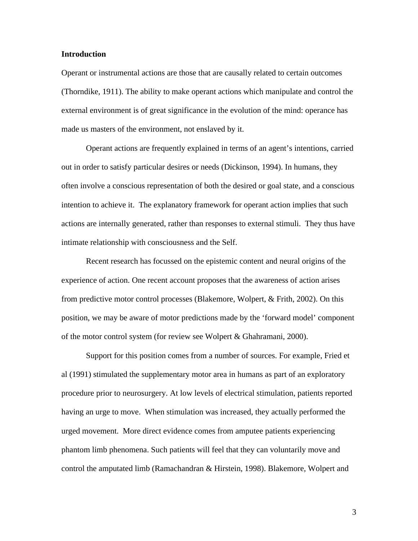## **Introduction**

Operant or instrumental actions are those that are causally related to certain outcomes (Thorndike, 1911). The ability to make operant actions which manipulate and control the external environment is of great significance in the evolution of the mind: operance has made us masters of the environment, not enslaved by it.

Operant actions are frequently explained in terms of an agent's intentions, carried out in order to satisfy particular desires or needs (Dickinson, 1994). In humans, they often involve a conscious representation of both the desired or goal state, and a conscious intention to achieve it. The explanatory framework for operant action implies that such actions are internally generated, rather than responses to external stimuli. They thus have intimate relationship with consciousness and the Self.

Recent research has focussed on the epistemic content and neural origins of the experience of action. One recent account proposes that the awareness of action arises from predictive motor control processes (Blakemore, Wolpert, & Frith, 2002). On this position, we may be aware of motor predictions made by the 'forward model' component of the motor control system (for review see Wolpert & Ghahramani, 2000).

Support for this position comes from a number of sources. For example, Fried et al (1991) stimulated the supplementary motor area in humans as part of an exploratory procedure prior to neurosurgery. At low levels of electrical stimulation, patients reported having an urge to move. When stimulation was increased, they actually performed the urged movement. More direct evidence comes from amputee patients experiencing phantom limb phenomena. Such patients will feel that they can voluntarily move and control the amputated limb (Ramachandran & Hirstein, 1998). Blakemore, Wolpert and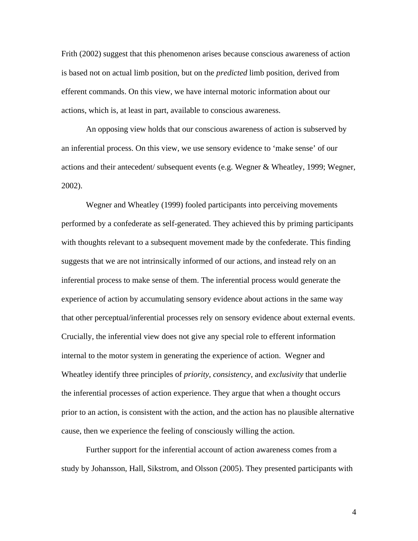Frith (2002) suggest that this phenomenon arises because conscious awareness of action is based not on actual limb position, but on the *predicted* limb position, derived from efferent commands. On this view, we have internal motoric information about our actions, which is, at least in part, available to conscious awareness.

An opposing view holds that our conscious awareness of action is subserved by an inferential process. On this view, we use sensory evidence to 'make sense' of our actions and their antecedent/ subsequent events (e.g. Wegner & Wheatley, 1999; Wegner, 2002).

Wegner and Wheatley (1999) fooled participants into perceiving movements performed by a confederate as self-generated. They achieved this by priming participants with thoughts relevant to a subsequent movement made by the confederate. This finding suggests that we are not intrinsically informed of our actions, and instead rely on an inferential process to make sense of them. The inferential process would generate the experience of action by accumulating sensory evidence about actions in the same way that other perceptual/inferential processes rely on sensory evidence about external events. Crucially, the inferential view does not give any special role to efferent information internal to the motor system in generating the experience of action. Wegner and Wheatley identify three principles of *priority, consistency*, and *exclusivity* that underlie the inferential processes of action experience. They argue that when a thought occurs prior to an action, is consistent with the action, and the action has no plausible alternative cause, then we experience the feeling of consciously willing the action.

Further support for the inferential account of action awareness comes from a study by Johansson, Hall, Sikstrom, and Olsson (2005). They presented participants with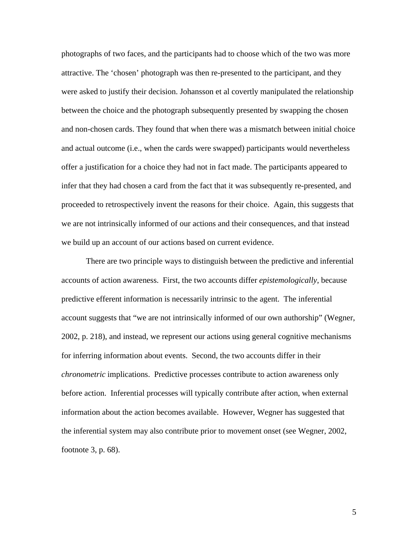photographs of two faces, and the participants had to choose which of the two was more attractive. The 'chosen' photograph was then re-presented to the participant, and they were asked to justify their decision. Johansson et al covertly manipulated the relationship between the choice and the photograph subsequently presented by swapping the chosen and non-chosen cards. They found that when there was a mismatch between initial choice and actual outcome (i.e., when the cards were swapped) participants would nevertheless offer a justification for a choice they had not in fact made. The participants appeared to infer that they had chosen a card from the fact that it was subsequently re-presented, and proceeded to retrospectively invent the reasons for their choice. Again, this suggests that we are not intrinsically informed of our actions and their consequences, and that instead we build up an account of our actions based on current evidence.

There are two principle ways to distinguish between the predictive and inferential accounts of action awareness. First, the two accounts differ *epistemologically*, because predictive efferent information is necessarily intrinsic to the agent. The inferential account suggests that "we are not intrinsically informed of our own authorship" (Wegner, 2002, p. 218), and instead, we represent our actions using general cognitive mechanisms for inferring information about events. Second, the two accounts differ in their *chronometric* implications. Predictive processes contribute to action awareness only before action. Inferential processes will typically contribute after action, when external information about the action becomes available. However, Wegner has suggested that the inferential system may also contribute prior to movement onset (see Wegner, 2002, footnote 3, p. 68).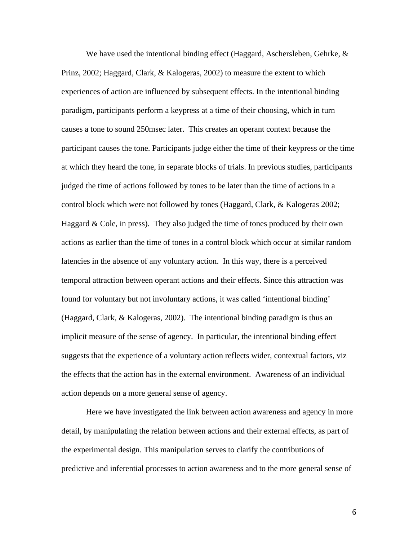We have used the intentional binding effect (Haggard, Aschersleben, Gehrke, & Prinz, 2002; Haggard, Clark, & Kalogeras, 2002) to measure the extent to which experiences of action are influenced by subsequent effects. In the intentional binding paradigm, participants perform a keypress at a time of their choosing, which in turn causes a tone to sound 250msec later. This creates an operant context because the participant causes the tone. Participants judge either the time of their keypress or the time at which they heard the tone, in separate blocks of trials. In previous studies, participants judged the time of actions followed by tones to be later than the time of actions in a control block which were not followed by tones (Haggard, Clark, & Kalogeras 2002; Haggard  $\&$  Cole, in press). They also judged the time of tones produced by their own actions as earlier than the time of tones in a control block which occur at similar random latencies in the absence of any voluntary action. In this way, there is a perceived temporal attraction between operant actions and their effects. Since this attraction was found for voluntary but not involuntary actions, it was called 'intentional binding' (Haggard, Clark, & Kalogeras, 2002). The intentional binding paradigm is thus an implicit measure of the sense of agency. In particular, the intentional binding effect suggests that the experience of a voluntary action reflects wider, contextual factors, viz the effects that the action has in the external environment. Awareness of an individual action depends on a more general sense of agency.

Here we have investigated the link between action awareness and agency in more detail, by manipulating the relation between actions and their external effects, as part of the experimental design. This manipulation serves to clarify the contributions of predictive and inferential processes to action awareness and to the more general sense of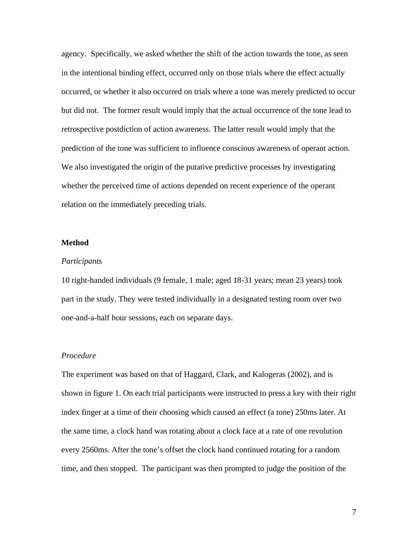agency. Specifically, we asked whether the shift of the action towards the tone, as seen in the intentional binding effect, occurred only on those trials where the effect actually occurred, or whether it also occurred on trials where a tone was merely predicted to occur but did not. The former result would imply that the actual occurrence of the tone lead to retrospective postdiction of action awareness. The latter result would imply that the prediction of the tone was sufficient to influence conscious awareness of operant action. We also investigated the origin of the putative predictive processes by investigating whether the perceived time of actions depended on recent experience of the operant relation on the immediately preceding trials.

#### **Method**

#### *Participants*

10 right-handed individuals (9 female, 1 male; aged 18-31 years; mean 23 years) took part in the study. They were tested individually in a designated testing room over two one-and-a-half hour sessions, each on separate days.

#### *Procedure*

The experiment was based on that of Haggard, Clark, and Kalogeras (2002), and is shown in figure 1. On each trial participants were instructed to press a key with their right index finger at a time of their choosing which caused an effect (a tone) 250ms later. At the same time, a clock hand was rotating about a clock face at a rate of one revolution every 2560ms. After the tone's offset the clock hand continued rotating for a random time, and then stopped. The participant was then prompted to judge the position of the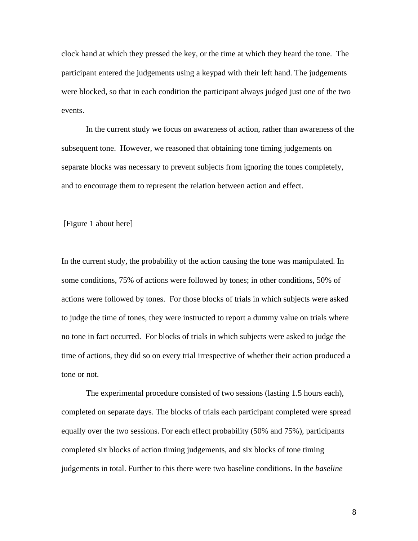clock hand at which they pressed the key, or the time at which they heard the tone. The participant entered the judgements using a keypad with their left hand. The judgements were blocked, so that in each condition the participant always judged just one of the two events.

In the current study we focus on awareness of action, rather than awareness of the subsequent tone. However, we reasoned that obtaining tone timing judgements on separate blocks was necessary to prevent subjects from ignoring the tones completely, and to encourage them to represent the relation between action and effect.

[Figure 1 about here]

In the current study, the probability of the action causing the tone was manipulated. In some conditions, 75% of actions were followed by tones; in other conditions, 50% of actions were followed by tones. For those blocks of trials in which subjects were asked to judge the time of tones, they were instructed to report a dummy value on trials where no tone in fact occurred. For blocks of trials in which subjects were asked to judge the time of actions, they did so on every trial irrespective of whether their action produced a tone or not.

The experimental procedure consisted of two sessions (lasting 1.5 hours each), completed on separate days. The blocks of trials each participant completed were spread equally over the two sessions. For each effect probability (50% and 75%), participants completed six blocks of action timing judgements, and six blocks of tone timing judgements in total. Further to this there were two baseline conditions. In the *baseline*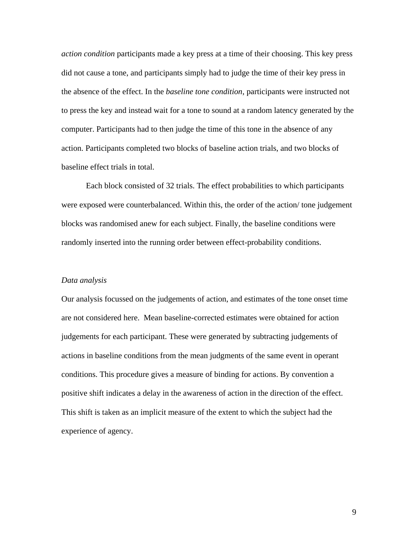*action condition* participants made a key press at a time of their choosing. This key press did not cause a tone, and participants simply had to judge the time of their key press in the absence of the effect. In the *baseline tone condition*, participants were instructed not to press the key and instead wait for a tone to sound at a random latency generated by the computer. Participants had to then judge the time of this tone in the absence of any action. Participants completed two blocks of baseline action trials, and two blocks of baseline effect trials in total.

Each block consisted of 32 trials. The effect probabilities to which participants were exposed were counterbalanced. Within this, the order of the action/ tone judgement blocks was randomised anew for each subject. Finally, the baseline conditions were randomly inserted into the running order between effect-probability conditions.

#### *Data analysis*

Our analysis focussed on the judgements of action, and estimates of the tone onset time are not considered here. Mean baseline-corrected estimates were obtained for action judgements for each participant. These were generated by subtracting judgements of actions in baseline conditions from the mean judgments of the same event in operant conditions. This procedure gives a measure of binding for actions. By convention a positive shift indicates a delay in the awareness of action in the direction of the effect. This shift is taken as an implicit measure of the extent to which the subject had the experience of agency.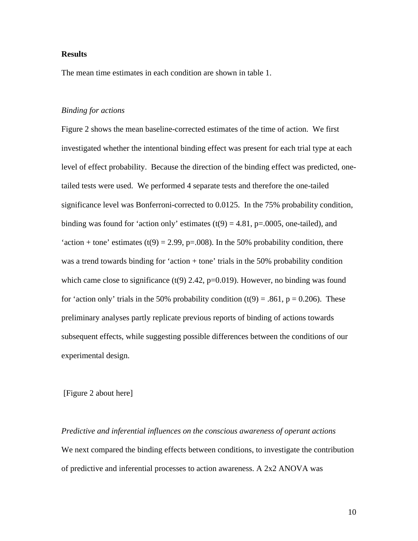## **Results**

The mean time estimates in each condition are shown in table 1.

## *Binding for actions*

Figure 2 shows the mean baseline-corrected estimates of the time of action. We first investigated whether the intentional binding effect was present for each trial type at each level of effect probability. Because the direction of the binding effect was predicted, onetailed tests were used. We performed 4 separate tests and therefore the one-tailed significance level was Bonferroni-corrected to 0.0125. In the 75% probability condition, binding was found for 'action only' estimates  $(t(9) = 4.81, p=0.005,$  one-tailed), and 'action + tone' estimates (t(9) = 2.99, p=.008). In the 50% probability condition, there was a trend towards binding for 'action + tone' trials in the 50% probability condition which came close to significance  $(t(9)$  2.42, p=0.019). However, no binding was found for 'action only' trials in the 50% probability condition  $(t(9) = .861, p = 0.206)$ . These preliminary analyses partly replicate previous reports of binding of actions towards subsequent effects, while suggesting possible differences between the conditions of our experimental design.

### [Figure 2 about here]

*Predictive and inferential influences on the conscious awareness of operant actions* We next compared the binding effects between conditions, to investigate the contribution of predictive and inferential processes to action awareness. A 2x2 ANOVA was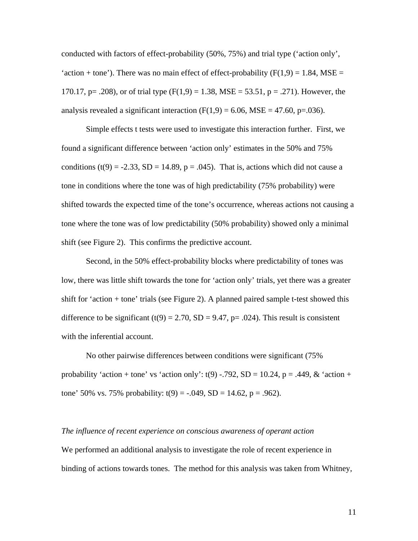conducted with factors of effect-probability (50%, 75%) and trial type ('action only', 'action + tone'). There was no main effect of effect-probability  $(F(1,9) = 1.84, MSE =$ 170.17, p= .208), or of trial type  $(F(1,9) = 1.38, MSE = 53.51, p = .271)$ . However, the analysis revealed a significant interaction  $(F(1,9) = 6.06, MSE = 47.60, p=.036)$ .

Simple effects t tests were used to investigate this interaction further. First, we found a significant difference between 'action only' estimates in the 50% and 75% conditions (t(9) = -2.33, SD = 14.89, p = .045). That is, actions which did not cause a tone in conditions where the tone was of high predictability (75% probability) were shifted towards the expected time of the tone's occurrence, whereas actions not causing a tone where the tone was of low predictability (50% probability) showed only a minimal shift (see Figure 2). This confirms the predictive account.

Second, in the 50% effect-probability blocks where predictability of tones was low, there was little shift towards the tone for 'action only' trials, yet there was a greater shift for 'action + tone' trials (see Figure 2). A planned paired sample t-test showed this difference to be significant (t(9) = 2.70, SD = 9.47, p= .024). This result is consistent with the inferential account.

No other pairwise differences between conditions were significant (75% probability 'action + tone' vs 'action only':  $t(9)$  -.792, SD = 10.24, p = .449, & 'action + tone' 50% vs. 75% probability: t(9) = -.049, SD = 14.62, p = .962).

# *The influence of recent experience on conscious awareness of operant action*

We performed an additional analysis to investigate the role of recent experience in binding of actions towards tones. The method for this analysis was taken from Whitney,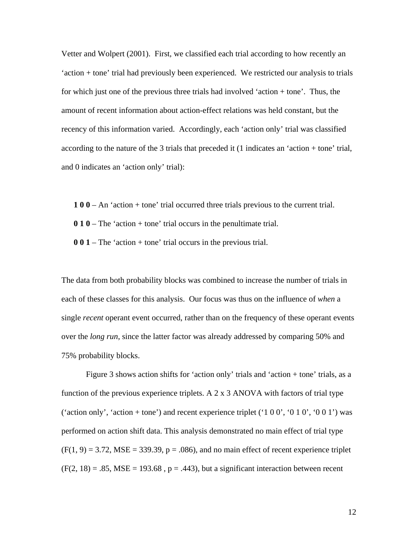Vetter and Wolpert (2001). First, we classified each trial according to how recently an 'action + tone' trial had previously been experienced. We restricted our analysis to trials for which just one of the previous three trials had involved 'action + tone'. Thus, the amount of recent information about action-effect relations was held constant, but the recency of this information varied. Accordingly, each 'action only' trial was classified according to the nature of the 3 trials that preceded it (1 indicates an 'action + tone' trial, and 0 indicates an 'action only' trial):

**1 0 0** – An 'action + tone' trial occurred three trials previous to the current trial.

**0 1 0** – The 'action + tone' trial occurs in the penultimate trial.

**0 0 1** – The 'action + tone' trial occurs in the previous trial.

The data from both probability blocks was combined to increase the number of trials in each of these classes for this analysis. Our focus was thus on the influence of *when* a single *recent* operant event occurred, rather than on the frequency of these operant events over the *long run*, since the latter factor was already addressed by comparing 50% and 75% probability blocks.

Figure 3 shows action shifts for 'action only' trials and 'action + tone' trials, as a function of the previous experience triplets. A 2 x 3 ANOVA with factors of trial type ('action only', 'action + tone') and recent experience triplet (' $100'$ , ' $010'$ , ' $001'$ ) was performed on action shift data. This analysis demonstrated no main effect of trial type  $(F(1, 9) = 3.72, MSE = 339.39, p = .086)$ , and no main effect of recent experience triplet  $(F(2, 18) = .85, MSE = 193.68, p = .443)$ , but a significant interaction between recent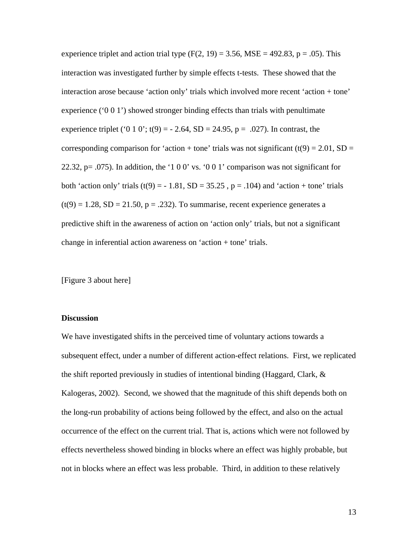experience triplet and action trial type  $(F(2, 19) = 3.56, MSE = 492.83, p = .05)$ . This interaction was investigated further by simple effects t-tests. These showed that the interaction arose because 'action only' trials which involved more recent 'action + tone' experience ( $0\ 0\ 1$ ) showed stronger binding effects than trials with penultimate experience triplet ('0 1 0'; t(9) =  $-$  2.64, SD = 24.95, p = .027). In contrast, the corresponding comparison for 'action + tone' trials was not significant (t(9) = 2.01, SD = 22.32, p= .075). In addition, the '1 0 0' vs. '0 0 1' comparison was not significant for both 'action only' trials  $(t(9) = -1.81, SD = 35.25, p = .104)$  and 'action + tone' trials  $(t(9) = 1.28, SD = 21.50, p = .232)$ . To summarise, recent experience generates a predictive shift in the awareness of action on 'action only' trials, but not a significant change in inferential action awareness on 'action + tone' trials.

[Figure 3 about here]

#### **Discussion**

We have investigated shifts in the perceived time of voluntary actions towards a subsequent effect, under a number of different action-effect relations. First, we replicated the shift reported previously in studies of intentional binding (Haggard, Clark, & Kalogeras, 2002). Second, we showed that the magnitude of this shift depends both on the long-run probability of actions being followed by the effect, and also on the actual occurrence of the effect on the current trial. That is, actions which were not followed by effects nevertheless showed binding in blocks where an effect was highly probable, but not in blocks where an effect was less probable. Third, in addition to these relatively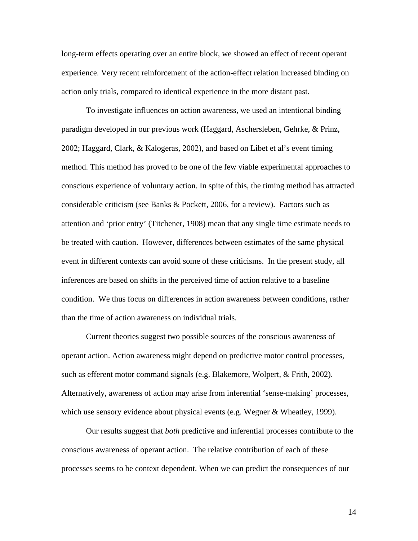long-term effects operating over an entire block, we showed an effect of recent operant experience. Very recent reinforcement of the action-effect relation increased binding on action only trials, compared to identical experience in the more distant past.

To investigate influences on action awareness, we used an intentional binding paradigm developed in our previous work (Haggard, Aschersleben, Gehrke, & Prinz, 2002; Haggard, Clark, & Kalogeras, 2002), and based on Libet et al's event timing method. This method has proved to be one of the few viable experimental approaches to conscious experience of voluntary action. In spite of this, the timing method has attracted considerable criticism (see Banks & Pockett, 2006, for a review). Factors such as attention and 'prior entry' (Titchener, 1908) mean that any single time estimate needs to be treated with caution. However, differences between estimates of the same physical event in different contexts can avoid some of these criticisms. In the present study, all inferences are based on shifts in the perceived time of action relative to a baseline condition. We thus focus on differences in action awareness between conditions, rather than the time of action awareness on individual trials.

Current theories suggest two possible sources of the conscious awareness of operant action. Action awareness might depend on predictive motor control processes, such as efferent motor command signals (e.g. Blakemore, Wolpert, & Frith, 2002). Alternatively, awareness of action may arise from inferential 'sense-making' processes, which use sensory evidence about physical events (e.g. Wegner & Wheatley, 1999).

Our results suggest that *both* predictive and inferential processes contribute to the conscious awareness of operant action. The relative contribution of each of these processes seems to be context dependent. When we can predict the consequences of our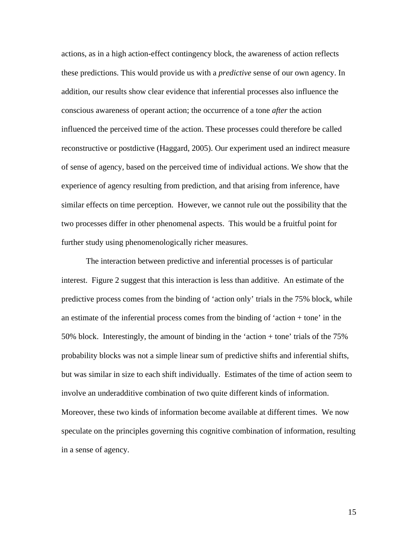actions, as in a high action-effect contingency block, the awareness of action reflects these predictions. This would provide us with a *predictive* sense of our own agency. In addition, our results show clear evidence that inferential processes also influence the conscious awareness of operant action; the occurrence of a tone *after* the action influenced the perceived time of the action. These processes could therefore be called reconstructive or postdictive (Haggard, 2005). Our experiment used an indirect measure of sense of agency, based on the perceived time of individual actions. We show that the experience of agency resulting from prediction, and that arising from inference, have similar effects on time perception. However, we cannot rule out the possibility that the two processes differ in other phenomenal aspects. This would be a fruitful point for further study using phenomenologically richer measures.

The interaction between predictive and inferential processes is of particular interest. Figure 2 suggest that this interaction is less than additive. An estimate of the predictive process comes from the binding of 'action only' trials in the 75% block, while an estimate of the inferential process comes from the binding of 'action + tone' in the 50% block. Interestingly, the amount of binding in the 'action + tone' trials of the 75% probability blocks was not a simple linear sum of predictive shifts and inferential shifts, but was similar in size to each shift individually. Estimates of the time of action seem to involve an underadditive combination of two quite different kinds of information. Moreover, these two kinds of information become available at different times. We now speculate on the principles governing this cognitive combination of information, resulting in a sense of agency.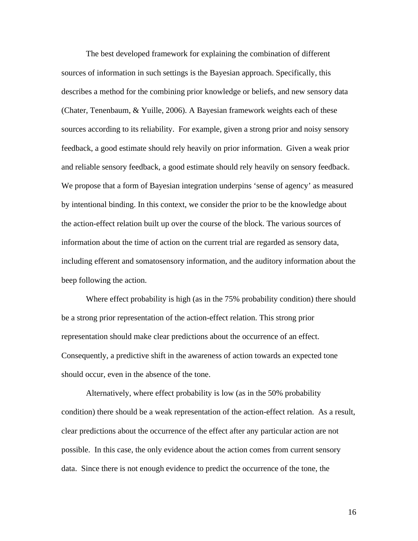The best developed framework for explaining the combination of different sources of information in such settings is the Bayesian approach. Specifically, this describes a method for the combining prior knowledge or beliefs, and new sensory data (Chater, Tenenbaum, & Yuille, 2006). A Bayesian framework weights each of these sources according to its reliability. For example, given a strong prior and noisy sensory feedback, a good estimate should rely heavily on prior information. Given a weak prior and reliable sensory feedback, a good estimate should rely heavily on sensory feedback. We propose that a form of Bayesian integration underpins 'sense of agency' as measured by intentional binding. In this context, we consider the prior to be the knowledge about the action-effect relation built up over the course of the block. The various sources of information about the time of action on the current trial are regarded as sensory data, including efferent and somatosensory information, and the auditory information about the beep following the action.

Where effect probability is high (as in the 75% probability condition) there should be a strong prior representation of the action-effect relation. This strong prior representation should make clear predictions about the occurrence of an effect. Consequently, a predictive shift in the awareness of action towards an expected tone should occur, even in the absence of the tone.

Alternatively, where effect probability is low (as in the 50% probability condition) there should be a weak representation of the action-effect relation. As a result, clear predictions about the occurrence of the effect after any particular action are not possible. In this case, the only evidence about the action comes from current sensory data. Since there is not enough evidence to predict the occurrence of the tone, the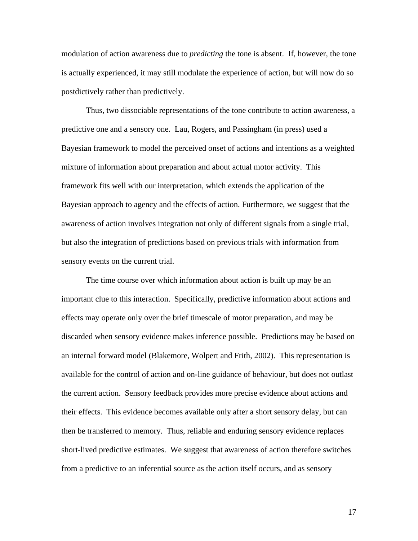modulation of action awareness due to *predicting* the tone is absent. If, however, the tone is actually experienced, it may still modulate the experience of action, but will now do so postdictively rather than predictively.

Thus, two dissociable representations of the tone contribute to action awareness, a predictive one and a sensory one. Lau, Rogers, and Passingham (in press) used a Bayesian framework to model the perceived onset of actions and intentions as a weighted mixture of information about preparation and about actual motor activity. This framework fits well with our interpretation, which extends the application of the Bayesian approach to agency and the effects of action. Furthermore, we suggest that the awareness of action involves integration not only of different signals from a single trial, but also the integration of predictions based on previous trials with information from sensory events on the current trial.

The time course over which information about action is built up may be an important clue to this interaction. Specifically, predictive information about actions and effects may operate only over the brief timescale of motor preparation, and may be discarded when sensory evidence makes inference possible. Predictions may be based on an internal forward model (Blakemore, Wolpert and Frith, 2002). This representation is available for the control of action and on-line guidance of behaviour, but does not outlast the current action. Sensory feedback provides more precise evidence about actions and their effects. This evidence becomes available only after a short sensory delay, but can then be transferred to memory. Thus, reliable and enduring sensory evidence replaces short-lived predictive estimates. We suggest that awareness of action therefore switches from a predictive to an inferential source as the action itself occurs, and as sensory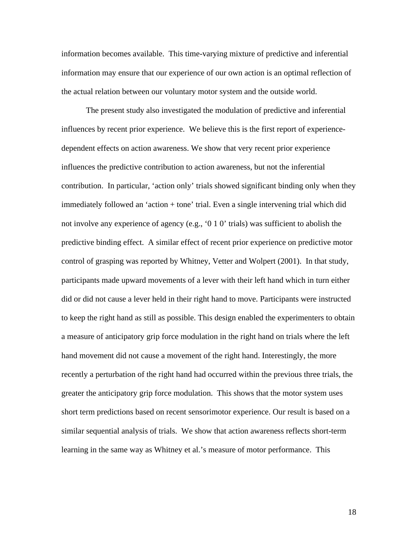information becomes available. This time-varying mixture of predictive and inferential information may ensure that our experience of our own action is an optimal reflection of the actual relation between our voluntary motor system and the outside world.

The present study also investigated the modulation of predictive and inferential influences by recent prior experience. We believe this is the first report of experiencedependent effects on action awareness. We show that very recent prior experience influences the predictive contribution to action awareness, but not the inferential contribution. In particular, 'action only' trials showed significant binding only when they immediately followed an 'action + tone' trial. Even a single intervening trial which did not involve any experience of agency (e.g., '0 1 0' trials) was sufficient to abolish the predictive binding effect. A similar effect of recent prior experience on predictive motor control of grasping was reported by Whitney, Vetter and Wolpert (2001). In that study, participants made upward movements of a lever with their left hand which in turn either did or did not cause a lever held in their right hand to move. Participants were instructed to keep the right hand as still as possible. This design enabled the experimenters to obtain a measure of anticipatory grip force modulation in the right hand on trials where the left hand movement did not cause a movement of the right hand. Interestingly, the more recently a perturbation of the right hand had occurred within the previous three trials, the greater the anticipatory grip force modulation. This shows that the motor system uses short term predictions based on recent sensorimotor experience. Our result is based on a similar sequential analysis of trials. We show that action awareness reflects short-term learning in the same way as Whitney et al.'s measure of motor performance. This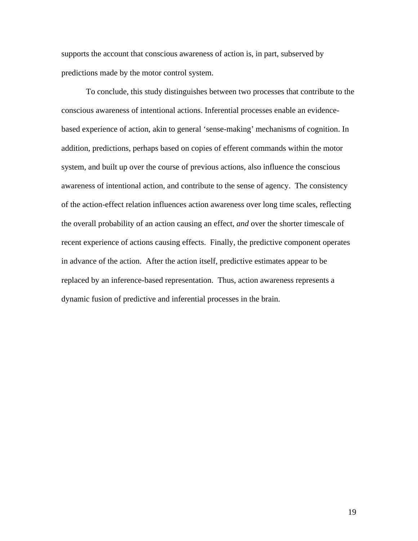supports the account that conscious awareness of action is, in part, subserved by predictions made by the motor control system.

To conclude, this study distinguishes between two processes that contribute to the conscious awareness of intentional actions. Inferential processes enable an evidencebased experience of action, akin to general 'sense-making' mechanisms of cognition. In addition, predictions, perhaps based on copies of efferent commands within the motor system, and built up over the course of previous actions, also influence the conscious awareness of intentional action, and contribute to the sense of agency. The consistency of the action-effect relation influences action awareness over long time scales, reflecting the overall probability of an action causing an effect, *and* over the shorter timescale of recent experience of actions causing effects. Finally, the predictive component operates in advance of the action. After the action itself, predictive estimates appear to be replaced by an inference-based representation. Thus, action awareness represents a dynamic fusion of predictive and inferential processes in the brain.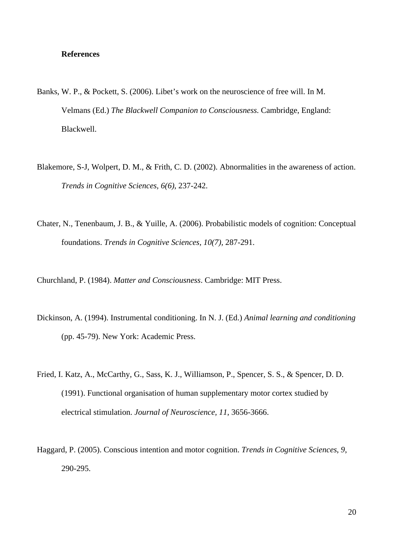## **References**

- Banks, W. P., & Pockett, S. (2006). Libet's work on the neuroscience of free will. In M. Velmans (Ed.) *The Blackwell Companion to Consciousness*. Cambridge, England: Blackwell.
- Blakemore, S-J, Wolpert, D. M., & Frith, C. D. (2002). Abnormalities in the awareness of action. *Trends in Cognitive Sciences, 6(6)*, 237-242.
- Chater, N., Tenenbaum, J. B., & Yuille, A. (2006). Probabilistic models of cognition: Conceptual foundations. *Trends in Cognitive Sciences, 10(7),* 287-291.
- Churchland, P. (1984). *Matter and Consciousness*. Cambridge: MIT Press.
- Dickinson, A. (1994). Instrumental conditioning. In N. J. (Ed.) *Animal learning and conditioning* (pp. 45-79). New York: Academic Press.
- Fried, I. Katz, A., McCarthy, G., Sass, K. J., Williamson, P., Spencer, S. S., & Spencer, D. D. (1991). Functional organisation of human supplementary motor cortex studied by electrical stimulation. *Journal of Neuroscience, 11*, 3656-3666.
- Haggard, P. (2005). Conscious intention and motor cognition. *Trends in Cognitive Sciences*, *9*, 290-295.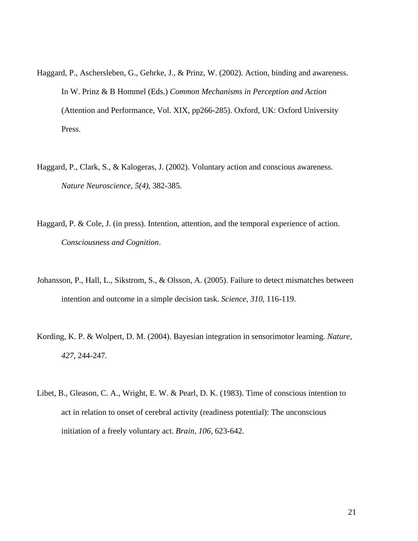- Haggard, P., Aschersleben, G., Gehrke, J., & Prinz, W. (2002). Action, binding and awareness. In W. Prinz & B Hommel (Eds.) *Common Mechanisms in Perception and Action* (Attention and Performance, Vol. XIX, pp266-285). Oxford, UK: Oxford University Press.
- Haggard, P., Clark, S., & Kalogeras, J. (2002). Voluntary action and conscious awareness. *Nature Neuroscience, 5(4)*, 382-385.
- Haggard, P. & Cole, J. (in press). Intention, attention, and the temporal experience of action. *Consciousness and Cognition*.
- Johansson, P., Hall, L., Sikstrom, S., & Olsson, A. (2005). Failure to detect mismatches between intention and outcome in a simple decision task. *Science, 310*, 116-119.
- Kording, K. P. & Wolpert, D. M. (2004). Bayesian integration in sensorimotor learning. *Nature, 427*, 244-247.
- Libet, B., Gleason, C. A., Wright, E. W. & Pearl, D. K. (1983). Time of conscious intention to act in relation to onset of cerebral activity (readiness potential): The unconscious initiation of a freely voluntary act. *Brain, 106*, 623-642.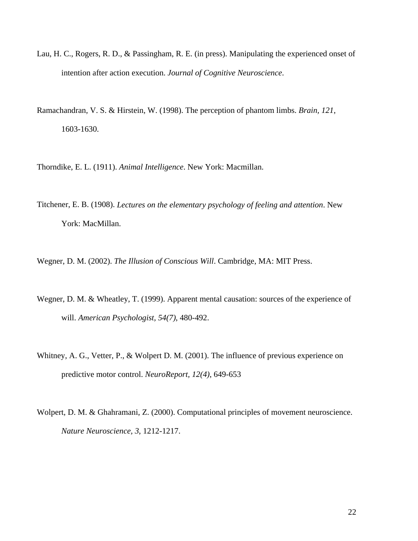- Lau, H. C., Rogers, R. D., & Passingham, R. E. (in press). Manipulating the experienced onset of intention after action execution. *Journal of Cognitive Neuroscience*.
- Ramachandran, V. S. & Hirstein, W. (1998). The perception of phantom limbs. *Brain, 121*, 1603-1630.

Thorndike, E. L. (1911). *Animal Intelligence*. New York: Macmillan.

Titchener, E. B. (1908). *Lectures on the elementary psychology of feeling and attention*. New York: MacMillan.

Wegner, D. M. (2002). *The Illusion of Conscious Will*. Cambridge, MA: MIT Press.

- Wegner, D. M. & Wheatley, T. (1999). Apparent mental causation: sources of the experience of will. *American Psychologist, 54(7)*, 480-492.
- Whitney, A. G., Vetter, P., & Wolpert D. M. (2001). The influence of previous experience on predictive motor control. *NeuroReport, 12(4)*, 649-653
- Wolpert, D. M. & Ghahramani, Z. (2000). Computational principles of movement neuroscience. *Nature Neuroscience, 3*, 1212-1217.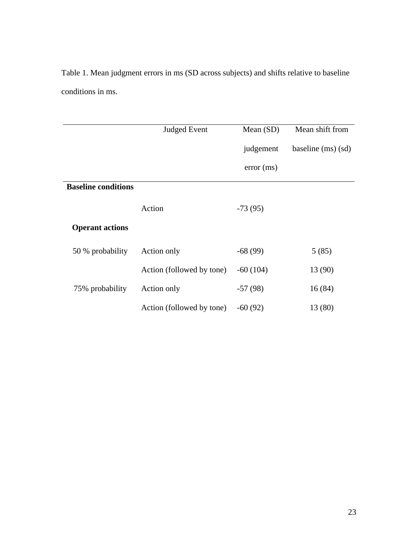Table 1. Mean judgment errors in ms (SD across subjects) and shifts relative to baseline conditions in ms.

|                            | <b>Judged Event</b>       | Mean $(SD)$ | Mean shift from    |
|----------------------------|---------------------------|-------------|--------------------|
|                            |                           | judgement   | baseline (ms) (sd) |
|                            |                           | error(ms)   |                    |
| <b>Baseline conditions</b> |                           |             |                    |
|                            | Action                    | $-73(95)$   |                    |
| <b>Operant actions</b>     |                           |             |                    |
| 50 % probability           | Action only               | $-68(99)$   | 5(85)              |
|                            | Action (followed by tone) | $-60(104)$  | 13 (90)            |
| 75% probability            | Action only               | $-57(98)$   | 16(84)             |
|                            | Action (followed by tone) | $-60(92)$   | 13 (80)            |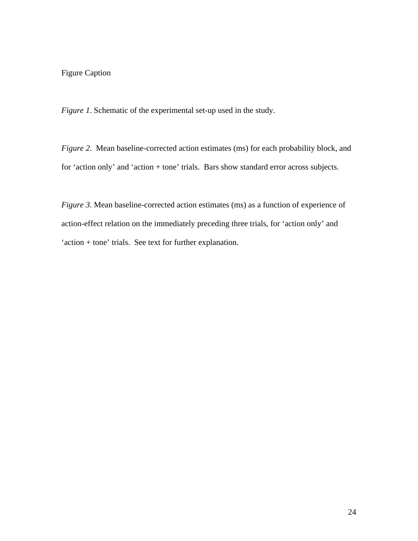# Figure Caption

*Figure 1*. Schematic of the experimental set-up used in the study.

*Figure 2*. Mean baseline-corrected action estimates (ms) for each probability block, and for 'action only' and 'action + tone' trials. Bars show standard error across subjects.

*Figure 3*. Mean baseline-corrected action estimates (ms) as a function of experience of action-effect relation on the immediately preceding three trials, for 'action only' and 'action + tone' trials. See text for further explanation.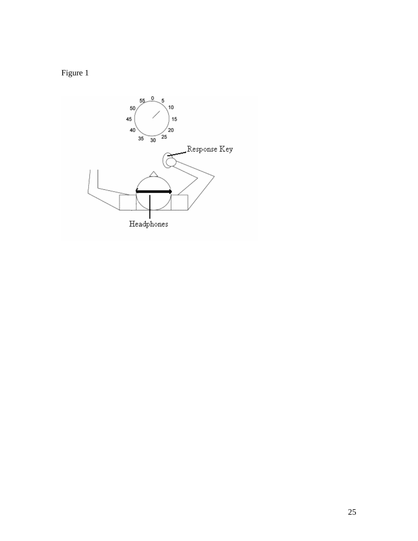

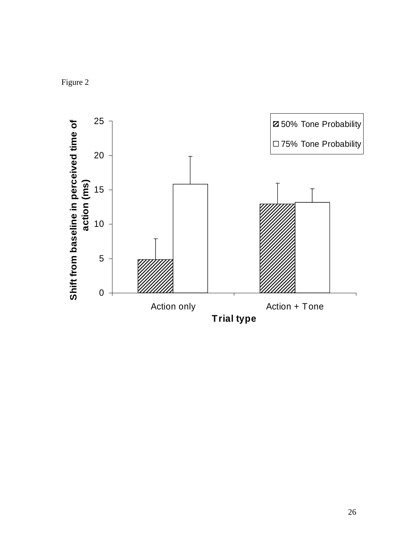Figure 2